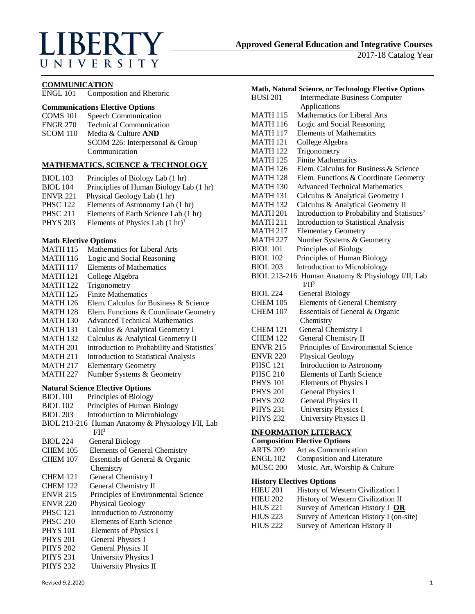# LIBERTY UNIVERSITY

2017-18 Catalog Year

#### **COMMUNICATION**

ENGL 101 Composition and Rhetoric

# **Communications Elective Options**

- COMS 101 Speech Communication ENGR 270 Technical Communication SCOM 110 Media & Culture **AND** SCOM 226: Interpersonal & Group
	- Communication

# **MATHEMATICS, SCIENCE & TECHNOLOGY**

- BIOL 103 Principles of Biology Lab (1 hr)
- BIOL 104 Principlies of Human Biology Lab (1 hr)
- ENVR 221 Physical Geology Lab (1 hr)
- PHSC 122 Elements of Astronomy Lab (1 hr)<br>PHSC 211 Elements of Earth Science Lab (1 h
- Elements of Earth Science Lab (1 hr)
- PHYS 203 Elements of Physics Lab  $(1 \text{ hr})^1$

#### **Math Elective Options**

| <b>MATH 115</b>                         | Mathematics for Liberal Arts                            |
|-----------------------------------------|---------------------------------------------------------|
| <b>MATH 116</b>                         | Logic and Social Reasoning                              |
| <b>MATH 117</b>                         | Elements of Mathematics                                 |
| <b>MATH 121</b>                         | College Algebra                                         |
| <b>MATH 122</b>                         | Trigonometry                                            |
| <b>MATH 125</b>                         | <b>Finite Mathematics</b>                               |
| <b>MATH 126</b>                         | Elem. Calculus for Business & Science                   |
| <b>MATH 128</b>                         | Elem. Functions & Coordinate Geometry                   |
| <b>MATH 130</b>                         | <b>Advanced Technical Mathematics</b>                   |
| <b>MATH 131</b>                         | Calculus & Analytical Geometry I                        |
| <b>MATH 132</b>                         | Calculus & Analytical Geometry II                       |
| <b>MATH 201</b>                         | Introduction to Probability and Statistics <sup>2</sup> |
| <b>MATH 211</b>                         | Introduction to Statistical Analysis                    |
| <b>MATH 217</b>                         | <b>Elementary Geometry</b>                              |
| <b>MATH 227</b>                         | Number Systems & Geometry                               |
| <b>Natural Science Elective Options</b> |                                                         |
| <b>BIOL</b> 101                         | Principles of Biology                                   |
| <b>BIOL 102</b>                         | Principles of Human Biology                             |
|                                         |                                                         |

- BIOL 203 Introduction to Microbiology
- BIOL 213-216 Human Anatomy & Physiology I/II, Lab  $VII<sup>3</sup>$
- BIOL 224 General Biology
- CHEM 105 Elements of General Chemistry CHEM 107 Essentials of General & Organic **Chemistry**
- CHEM 121 General Chemistry I
- CHEM 122 General Chemistry II
- ENVR 215 Principles of Environmental Science
- ENVR 220 Physical Geology
- PHSC 121 Introduction to Astronomy
- PHSC 210 Elements of Earth Science
- PHYS 101 Elements of Physics I<br>PHYS 201 General Physics I
- General Physics I
- PHYS 202 General Physics II
- PHYS 231 University Physics I
- PHYS 232 University Physics II

| Math, Natural Science, or Technology Elective Options                |                                                         |
|----------------------------------------------------------------------|---------------------------------------------------------|
| <b>BUSI 201</b>                                                      | <b>Intermediate Business Computer</b>                   |
|                                                                      | Applications                                            |
| <b>MATH 115</b>                                                      | <b>Mathematics for Liberal Arts</b>                     |
| <b>MATH 116</b>                                                      | Logic and Social Reasoning                              |
| <b>MATH 117</b>                                                      | <b>Elements of Mathematics</b>                          |
| <b>MATH 121</b>                                                      | College Algebra                                         |
| <b>MATH 122</b>                                                      | Trigonometry                                            |
| <b>MATH 125</b>                                                      | <b>Finite Mathematics</b>                               |
| <b>MATH 126</b>                                                      | Elem. Calculus for Business & Science                   |
| <b>MATH 128</b>                                                      | Elem. Functions & Coordinate Geometry                   |
| <b>MATH 130</b>                                                      | <b>Advanced Technical Mathematics</b>                   |
| <b>MATH 131</b>                                                      | Calculus & Analytical Geometry I                        |
| <b>MATH 132</b>                                                      | Calculus & Analytical Geometry II                       |
| <b>MATH 201</b>                                                      | Introduction to Probability and Statistics <sup>2</sup> |
| <b>MATH 211</b>                                                      | <b>Introduction to Statistical Analysis</b>             |
| <b>MATH 217</b>                                                      | <b>Elementary Geometry</b>                              |
| <b>MATH 227</b>                                                      | Number Systems & Geometry                               |
| <b>BIOL 101</b>                                                      | Principles of Biology                                   |
| <b>BIOL 102</b>                                                      | Principles of Human Biology                             |
| <b>BIOL 203</b>                                                      | <b>Introduction to Microbiology</b>                     |
| BIOL 213-216 Human Anatomy & Physiology I/II, Lab                    |                                                         |
|                                                                      | VII <sup>3</sup>                                        |
| <b>BIOL 224</b>                                                      | <b>General Biology</b>                                  |
| <b>CHEM 105</b>                                                      | <b>Elements of General Chemistry</b>                    |
| <b>CHEM 107</b>                                                      | Essentials of General & Organic                         |
|                                                                      | Chemistry                                               |
| <b>CHEM 121</b>                                                      | <b>General Chemistry I</b>                              |
| <b>CHEM 122</b>                                                      | General Chemistry II                                    |
| <b>ENVR 215</b>                                                      | Principles of Environmental Science                     |
| <b>ENVR 220</b>                                                      | Physical Geology                                        |
| <b>PHSC 121</b>                                                      | Introduction to Astronomy                               |
| <b>PHSC 210</b>                                                      | <b>Elements of Earth Science</b>                        |
| <b>PHYS 101</b>                                                      | Elements of Physics I                                   |
| <b>PHYS 201</b>                                                      | General Physics I                                       |
| <b>PHYS 202</b>                                                      | <b>General Physics II</b>                               |
| <b>PHYS 231</b>                                                      | <b>University Physics I</b>                             |
| <b>PHYS 232</b>                                                      | University Physics II                                   |
| <b>INFORMATION LITERACY</b><br>$\mathbf{E}$ $\mathbf{E}$<br>$\cdots$ |                                                         |

**Composition Elective Options** ARTS 209 Art as Communication ENGL 102 Composition and Literature MUSC 200 Music, Art, Worship & Culture

# **History Electives Options**

- HIEU 201 History of Western Civilization I
- HIEU 202 History of Western Civilization II
- HIUS 221 Survey of American History I **OR**
- HIUS 223 Survey of American History I (on-site)
- HIUS 222 Survey of American History II